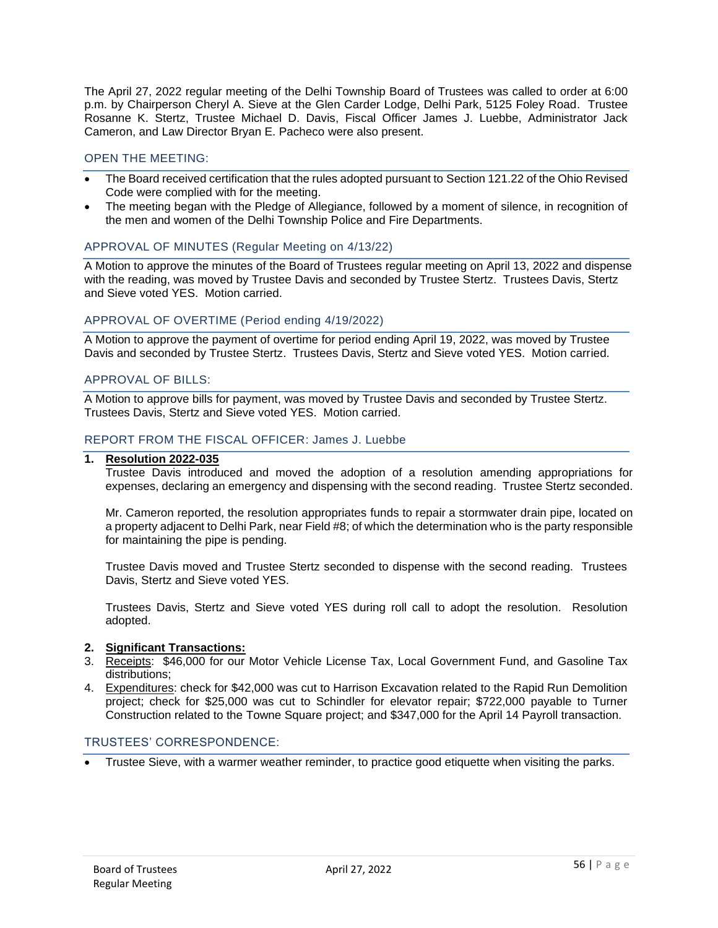The April 27, 2022 regular meeting of the Delhi Township Board of Trustees was called to order at 6:00 p.m. by Chairperson Cheryl A. Sieve at the Glen Carder Lodge, Delhi Park, 5125 Foley Road. Trustee Rosanne K. Stertz, Trustee Michael D. Davis, Fiscal Officer James J. Luebbe, Administrator Jack Cameron, and Law Director Bryan E. Pacheco were also present.

## OPEN THE MEETING:

- The Board received certification that the rules adopted pursuant to Section 121.22 of the Ohio Revised Code were complied with for the meeting.
- The meeting began with the Pledge of Allegiance, followed by a moment of silence, in recognition of the men and women of the Delhi Township Police and Fire Departments.

### APPROVAL OF MINUTES (Regular Meeting on 4/13/22)

A Motion to approve the minutes of the Board of Trustees regular meeting on April 13, 2022 and dispense with the reading, was moved by Trustee Davis and seconded by Trustee Stertz. Trustees Davis, Stertz and Sieve voted YES. Motion carried.

### APPROVAL OF OVERTIME (Period ending 4/19/2022)

A Motion to approve the payment of overtime for period ending April 19, 2022, was moved by Trustee Davis and seconded by Trustee Stertz. Trustees Davis, Stertz and Sieve voted YES. Motion carried.

# APPROVAL OF BILLS:

A Motion to approve bills for payment, was moved by Trustee Davis and seconded by Trustee Stertz. Trustees Davis, Stertz and Sieve voted YES. Motion carried.

### REPORT FROM THE FISCAL OFFICER: James J. Luebbe

#### **1. Resolution 2022-035**

Trustee Davis introduced and moved the adoption of a resolution amending appropriations for expenses, declaring an emergency and dispensing with the second reading. Trustee Stertz seconded.

Mr. Cameron reported, the resolution appropriates funds to repair a stormwater drain pipe, located on a property adjacent to Delhi Park, near Field #8; of which the determination who is the party responsible for maintaining the pipe is pending.

Trustee Davis moved and Trustee Stertz seconded to dispense with the second reading. Trustees Davis, Stertz and Sieve voted YES.

Trustees Davis, Stertz and Sieve voted YES during roll call to adopt the resolution. Resolution adopted.

### **2. Significant Transactions:**

- 3. Receipts: \$46,000 for our Motor Vehicle License Tax, Local Government Fund, and Gasoline Tax distributions;
- 4. Expenditures: check for \$42,000 was cut to Harrison Excavation related to the Rapid Run Demolition project; check for \$25,000 was cut to Schindler for elevator repair; \$722,000 payable to Turner Construction related to the Towne Square project; and \$347,000 for the April 14 Payroll transaction.

# TRUSTEES' CORRESPONDENCE:

• Trustee Sieve, with a warmer weather reminder, to practice good etiquette when visiting the parks.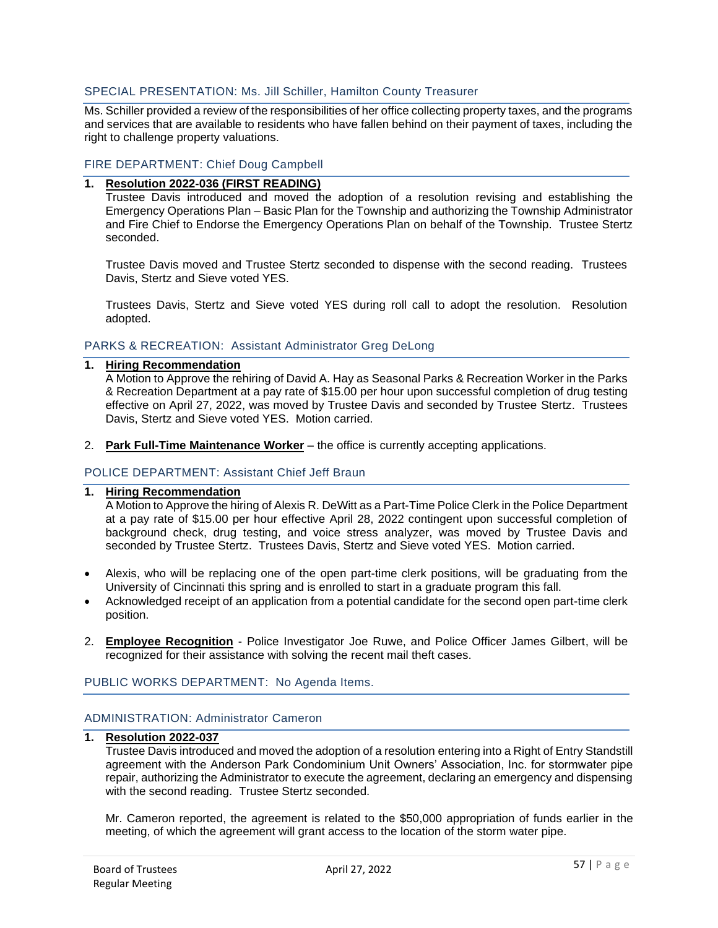## SPECIAL PRESENTATION: Ms. Jill Schiller, Hamilton County Treasurer

Ms. Schiller provided a review of the responsibilities of her office collecting property taxes, and the programs and services that are available to residents who have fallen behind on their payment of taxes, including the right to challenge property valuations.

## FIRE DEPARTMENT: Chief Doug Campbell

# **1. Resolution 2022-036 (FIRST READING)**

Trustee Davis introduced and moved the adoption of a resolution revising and establishing the Emergency Operations Plan – Basic Plan for the Township and authorizing the Township Administrator and Fire Chief to Endorse the Emergency Operations Plan on behalf of the Township. Trustee Stertz seconded.

Trustee Davis moved and Trustee Stertz seconded to dispense with the second reading. Trustees Davis, Stertz and Sieve voted YES.

Trustees Davis, Stertz and Sieve voted YES during roll call to adopt the resolution. Resolution adopted.

### PARKS & RECREATION: Assistant Administrator Greg DeLong

**1. Hiring Recommendation**

A Motion to Approve the rehiring of David A. Hay as Seasonal Parks & Recreation Worker in the Parks & Recreation Department at a pay rate of \$15.00 per hour upon successful completion of drug testing effective on April 27, 2022, was moved by Trustee Davis and seconded by Trustee Stertz. Trustees Davis, Stertz and Sieve voted YES. Motion carried.

2. **Park Full-Time Maintenance Worker** – the office is currently accepting applications.

### POLICE DEPARTMENT: Assistant Chief Jeff Braun

## **1. Hiring Recommendation**

A Motion to Approve the hiring of Alexis R. DeWitt as a Part-Time Police Clerk in the Police Department at a pay rate of \$15.00 per hour effective April 28, 2022 contingent upon successful completion of background check, drug testing, and voice stress analyzer, was moved by Trustee Davis and seconded by Trustee Stertz. Trustees Davis, Stertz and Sieve voted YES. Motion carried.

- Alexis, who will be replacing one of the open part-time clerk positions, will be graduating from the University of Cincinnati this spring and is enrolled to start in a graduate program this fall.
- Acknowledged receipt of an application from a potential candidate for the second open part-time clerk position.
- 2. **Employee Recognition** Police Investigator Joe Ruwe, and Police Officer James Gilbert, will be recognized for their assistance with solving the recent mail theft cases.

### PUBLIC WORKS DEPARTMENT: No Agenda Items.

### ADMINISTRATION: Administrator Cameron

#### **1. Resolution 2022-037**

Trustee Davis introduced and moved the adoption of a resolution entering into a Right of Entry Standstill agreement with the Anderson Park Condominium Unit Owners' Association, Inc. for stormwater pipe repair, authorizing the Administrator to execute the agreement, declaring an emergency and dispensing with the second reading. Trustee Stertz seconded.

Mr. Cameron reported, the agreement is related to the \$50,000 appropriation of funds earlier in the meeting, of which the agreement will grant access to the location of the storm water pipe.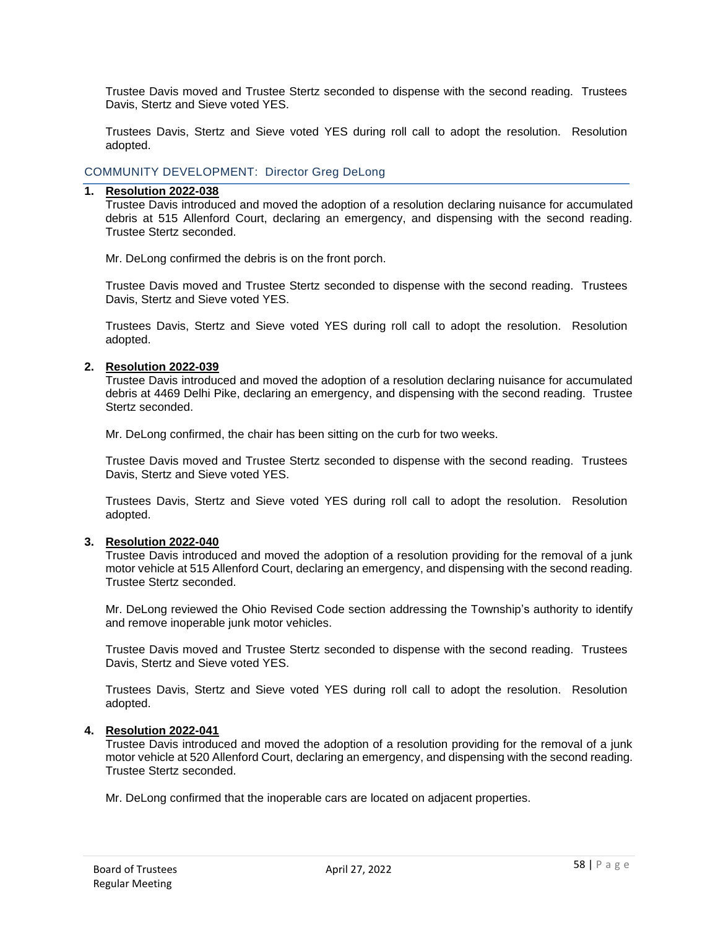Trustee Davis moved and Trustee Stertz seconded to dispense with the second reading. Trustees Davis, Stertz and Sieve voted YES.

Trustees Davis, Stertz and Sieve voted YES during roll call to adopt the resolution. Resolution adopted.

COMMUNITY DEVELOPMENT: Director Greg DeLong

### **1. Resolution 2022-038**

Trustee Davis introduced and moved the adoption of a resolution declaring nuisance for accumulated debris at 515 Allenford Court, declaring an emergency, and dispensing with the second reading. Trustee Stertz seconded.

Mr. DeLong confirmed the debris is on the front porch.

Trustee Davis moved and Trustee Stertz seconded to dispense with the second reading. Trustees Davis, Stertz and Sieve voted YES.

Trustees Davis, Stertz and Sieve voted YES during roll call to adopt the resolution. Resolution adopted.

#### **2. Resolution 2022-039**

Trustee Davis introduced and moved the adoption of a resolution declaring nuisance for accumulated debris at 4469 Delhi Pike, declaring an emergency, and dispensing with the second reading. Trustee Stertz seconded.

Mr. DeLong confirmed, the chair has been sitting on the curb for two weeks.

Trustee Davis moved and Trustee Stertz seconded to dispense with the second reading. Trustees Davis, Stertz and Sieve voted YES.

Trustees Davis, Stertz and Sieve voted YES during roll call to adopt the resolution. Resolution adopted.

### **3. Resolution 2022-040**

Trustee Davis introduced and moved the adoption of a resolution providing for the removal of a junk motor vehicle at 515 Allenford Court, declaring an emergency, and dispensing with the second reading. Trustee Stertz seconded.

Mr. DeLong reviewed the Ohio Revised Code section addressing the Township's authority to identify and remove inoperable junk motor vehicles.

Trustee Davis moved and Trustee Stertz seconded to dispense with the second reading. Trustees Davis, Stertz and Sieve voted YES.

Trustees Davis, Stertz and Sieve voted YES during roll call to adopt the resolution. Resolution adopted.

#### **4. Resolution 2022-041**

Trustee Davis introduced and moved the adoption of a resolution providing for the removal of a junk motor vehicle at 520 Allenford Court, declaring an emergency, and dispensing with the second reading. Trustee Stertz seconded.

Mr. DeLong confirmed that the inoperable cars are located on adjacent properties.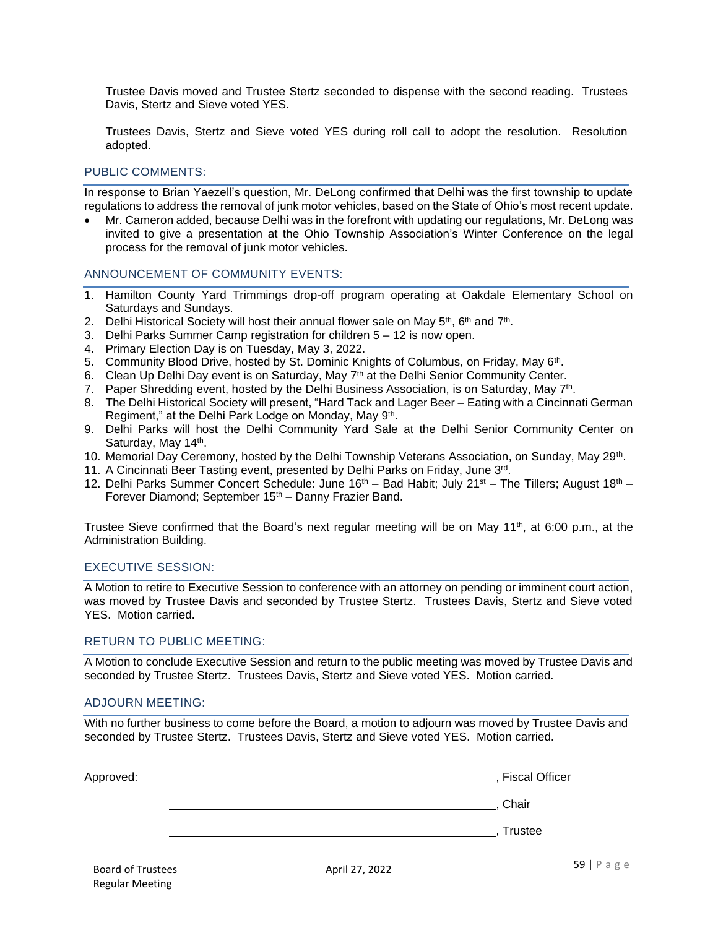Trustee Davis moved and Trustee Stertz seconded to dispense with the second reading. Trustees Davis, Stertz and Sieve voted YES.

Trustees Davis, Stertz and Sieve voted YES during roll call to adopt the resolution. Resolution adopted.

### PUBLIC COMMENTS:

In response to Brian Yaezell's question, Mr. DeLong confirmed that Delhi was the first township to update regulations to address the removal of junk motor vehicles, based on the State of Ohio's most recent update.

• Mr. Cameron added, because Delhi was in the forefront with updating our regulations, Mr. DeLong was invited to give a presentation at the Ohio Township Association's Winter Conference on the legal process for the removal of junk motor vehicles.

### ANNOUNCEMENT OF COMMUNITY EVENTS:

- 1. Hamilton County Yard Trimmings drop-off program operating at Oakdale Elementary School on Saturdays and Sundays.
- 2. Delhi Historical Society will host their annual flower sale on May  $5<sup>th</sup>$ , 6<sup>th</sup> and 7<sup>th</sup>.
- 3. Delhi Parks Summer Camp registration for children 5 12 is now open.
- 4. Primary Election Day is on Tuesday, May 3, 2022.
- 5. Community Blood Drive, hosted by St. Dominic Knights of Columbus, on Friday, May 6<sup>th</sup>.
- 6. Clean Up Delhi Day event is on Saturday, May  $7<sup>th</sup>$  at the Delhi Senior Community Center.
- 7. Paper Shredding event, hosted by the Delhi Business Association, is on Saturday, May 7<sup>th</sup>.
- 8. The Delhi Historical Society will present, "Hard Tack and Lager Beer Eating with a Cincinnati German Regiment," at the Delhi Park Lodge on Monday, May 9<sup>th</sup>.
- 9. Delhi Parks will host the Delhi Community Yard Sale at the Delhi Senior Community Center on Saturday, May 14<sup>th</sup>.
- 10. Memorial Day Ceremony, hosted by the Delhi Township Veterans Association, on Sunday, May 29<sup>th</sup>.
- 11. A Cincinnati Beer Tasting event, presented by Delhi Parks on Friday, June 3<sup>rd</sup>.
- 12. Delhi Parks Summer Concert Schedule: June  $16<sup>th</sup> -$  Bad Habit; July 21<sup>st</sup> The Tillers; August  $18<sup>th</sup> -$ Forever Diamond; September 15<sup>th</sup> – Danny Frazier Band.

Trustee Sieve confirmed that the Board's next regular meeting will be on May 11<sup>th</sup>, at 6:00 p.m., at the Administration Building.

## EXECUTIVE SESSION:

A Motion to retire to Executive Session to conference with an attorney on pending or imminent court action, was moved by Trustee Davis and seconded by Trustee Stertz. Trustees Davis, Stertz and Sieve voted YES. Motion carried.

### RETURN TO PUBLIC MEETING:

A Motion to conclude Executive Session and return to the public meeting was moved by Trustee Davis and seconded by Trustee Stertz. Trustees Davis, Stertz and Sieve voted YES. Motion carried.

### ADJOURN MEETING:

With no further business to come before the Board, a motion to adjourn was moved by Trustee Davis and seconded by Trustee Stertz. Trustees Davis, Stertz and Sieve voted YES. Motion carried.

| Approved:                |                | <b>Fiscal Officer</b> |
|--------------------------|----------------|-----------------------|
|                          |                | Chair                 |
|                          |                | Trustee               |
| <b>Board of Trustees</b> | April 27, 2022 | $59$   P a g e        |